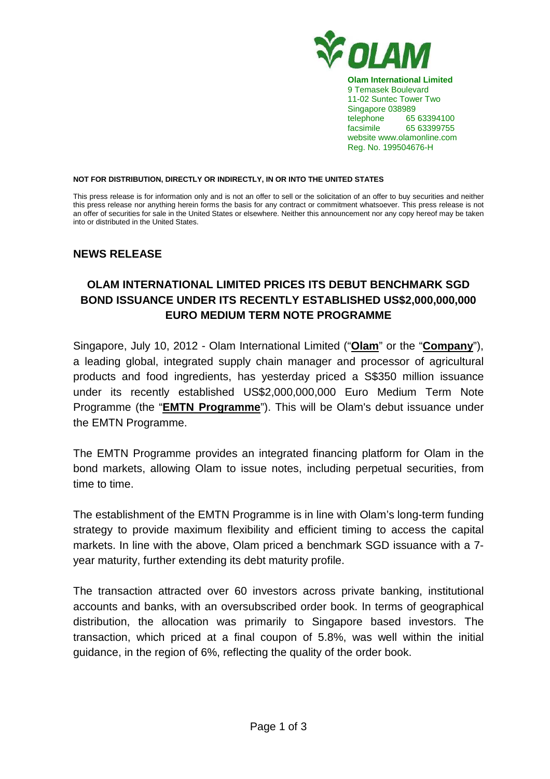

**Olam International Limited**  9 Temasek Boulevard 11-02 Suntec Tower Two Singapore 038989 telephone 65 63394100 facsimile 65 63399755 website www.olamonline.com Reg. No. 199504676-H

#### **NOT FOR DISTRIBUTION, DIRECTLY OR INDIRECTLY, IN OR INTO THE UNITED STATES**

This press release is for information only and is not an offer to sell or the solicitation of an offer to buy securities and neither this press release nor anything herein forms the basis for any contract or commitment whatsoever. This press release is not an offer of securities for sale in the United States or elsewhere. Neither this announcement nor any copy hereof may be taken into or distributed in the United States.

### **NEWS RELEASE**

# **OLAM INTERNATIONAL LIMITED PRICES ITS DEBUT BENCHMARK SGD BOND ISSUANCE UNDER ITS RECENTLY ESTABLISHED US\$2,000,000,000 EURO MEDIUM TERM NOTE PROGRAMME**

Singapore, July 10, 2012 - Olam International Limited ("**Olam**" or the "**Company**"), a leading global, integrated supply chain manager and processor of agricultural products and food ingredients, has yesterday priced a S\$350 million issuance under its recently established US\$2,000,000,000 Euro Medium Term Note Programme (the "**EMTN Programme**"). This will be Olam's debut issuance under the EMTN Programme.

The EMTN Programme provides an integrated financing platform for Olam in the bond markets, allowing Olam to issue notes, including perpetual securities, from time to time.

The establishment of the EMTN Programme is in line with Olam's long-term funding strategy to provide maximum flexibility and efficient timing to access the capital markets. In line with the above, Olam priced a benchmark SGD issuance with a 7 year maturity, further extending its debt maturity profile.

The transaction attracted over 60 investors across private banking, institutional accounts and banks, with an oversubscribed order book. In terms of geographical distribution, the allocation was primarily to Singapore based investors. The transaction, which priced at a final coupon of 5.8%, was well within the initial guidance, in the region of 6%, reflecting the quality of the order book.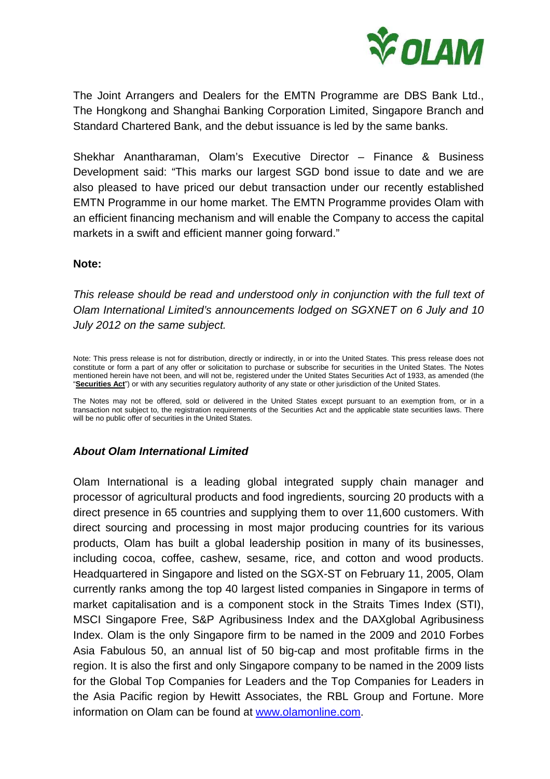

The Joint Arrangers and Dealers for the EMTN Programme are DBS Bank Ltd., The Hongkong and Shanghai Banking Corporation Limited, Singapore Branch and Standard Chartered Bank, and the debut issuance is led by the same banks.

Shekhar Anantharaman, Olam's Executive Director – Finance & Business Development said: "This marks our largest SGD bond issue to date and we are also pleased to have priced our debut transaction under our recently established EMTN Programme in our home market. The EMTN Programme provides Olam with an efficient financing mechanism and will enable the Company to access the capital markets in a swift and efficient manner going forward."

### **Note:**

This release should be read and understood only in conjunction with the full text of Olam International Limited's announcements lodged on SGXNET on 6 July and 10 July 2012 on the same subject.

Note: This press release is not for distribution, directly or indirectly, in or into the United States. This press release does not constitute or form a part of any offer or solicitation to purchase or subscribe for securities in the United States. The Notes mentioned herein have not been, and will not be, registered under the United States Securities Act of 1933, as amended (the "**Securities Act**") or with any securities regulatory authority of any state or other jurisdiction of the United States.

The Notes may not be offered, sold or delivered in the United States except pursuant to an exemption from, or in a transaction not subject to, the registration requirements of the Securities Act and the applicable state securities laws. There will be no public offer of securities in the United States.

## **About Olam International Limited**

Olam International is a leading global integrated supply chain manager and processor of agricultural products and food ingredients, sourcing 20 products with a direct presence in 65 countries and supplying them to over 11,600 customers. With direct sourcing and processing in most major producing countries for its various products, Olam has built a global leadership position in many of its businesses, including cocoa, coffee, cashew, sesame, rice, and cotton and wood products. Headquartered in Singapore and listed on the SGX-ST on February 11, 2005, Olam currently ranks among the top 40 largest listed companies in Singapore in terms of market capitalisation and is a component stock in the Straits Times Index (STI), MSCI Singapore Free, S&P Agribusiness Index and the DAXglobal Agribusiness Index. Olam is the only Singapore firm to be named in the 2009 and 2010 Forbes Asia Fabulous 50, an annual list of 50 big-cap and most profitable firms in the region. It is also the first and only Singapore company to be named in the 2009 lists for the Global Top Companies for Leaders and the Top Companies for Leaders in the Asia Pacific region by Hewitt Associates, the RBL Group and Fortune. More information on Olam can be found at www.olamonline.com.